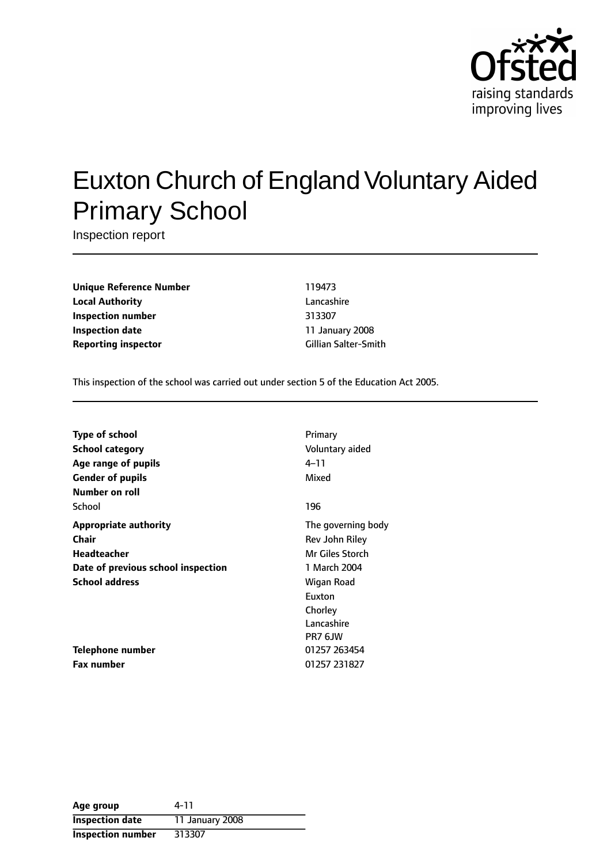

# Euxton Church of England Voluntary Aided Primary School

Inspection report

**Unique Reference Number** 119473 **Local Authority** Lancashire **Inspection number** 313307 **Inspection date** 11 January 2008 **Reporting inspector Cillian Salter-Smith** 

This inspection of the school was carried out under section 5 of the Education Act 2005.

| <b>Type of school</b>              | Primary            |
|------------------------------------|--------------------|
| School category                    | Voluntary aided    |
| Age range of pupils                | 4–11               |
| <b>Gender of pupils</b>            | Mixed              |
| Number on roll                     |                    |
| School                             | 196                |
| <b>Appropriate authority</b>       | The governing body |
| Chair                              | Rev John Riley     |
| Headteacher                        | Mr Giles Storch    |
| Date of previous school inspection | 1 March 2004       |
| <b>School address</b>              | Wigan Road         |
|                                    | Euxton             |
|                                    | Chorley            |
|                                    | Lancashire         |
|                                    | PR7 6JW            |
| Telephone number                   | 01257 263454       |
| <b>Fax number</b>                  | 01257 231827       |

| Age group                | 4-11            |
|--------------------------|-----------------|
| <b>Inspection date</b>   | 11 January 2008 |
| <b>Inspection number</b> | 313307          |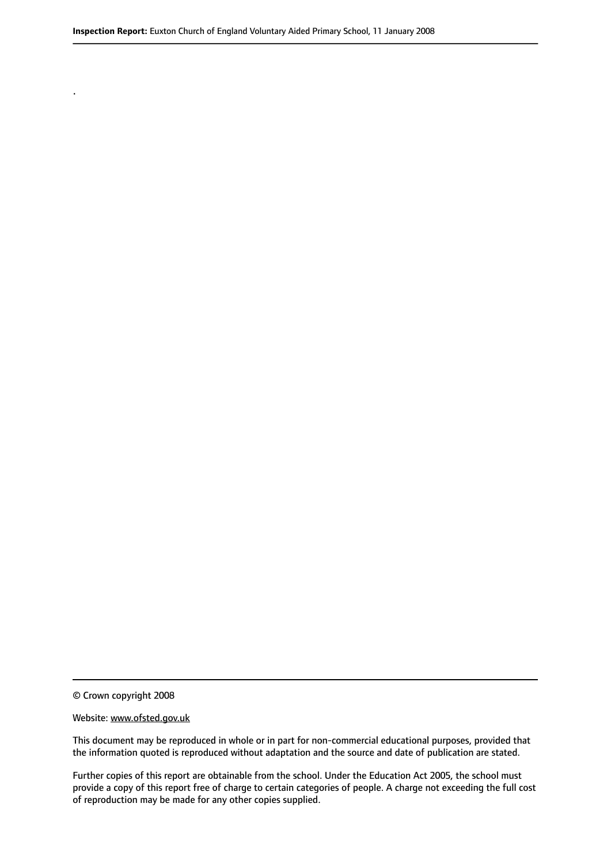© Crown copyright 2008

.

#### Website: www.ofsted.gov.uk

This document may be reproduced in whole or in part for non-commercial educational purposes, provided that the information quoted is reproduced without adaptation and the source and date of publication are stated.

Further copies of this report are obtainable from the school. Under the Education Act 2005, the school must provide a copy of this report free of charge to certain categories of people. A charge not exceeding the full cost of reproduction may be made for any other copies supplied.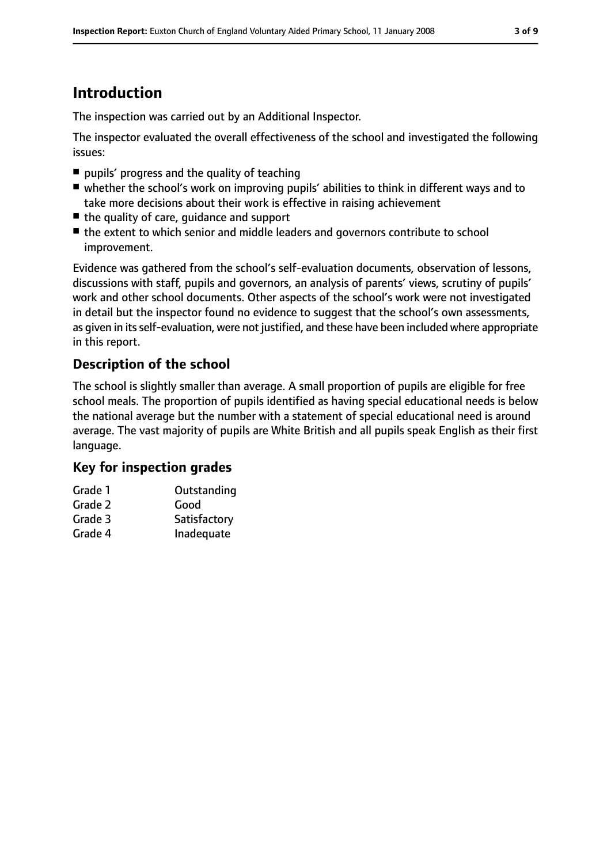# **Introduction**

The inspection was carried out by an Additional Inspector.

The inspector evaluated the overall effectiveness of the school and investigated the following issues:

- pupils' progress and the quality of teaching
- whether the school's work on improving pupils' abilities to think in different ways and to take more decisions about their work is effective in raising achievement
- the quality of care, quidance and support
- the extent to which senior and middle leaders and governors contribute to school improvement.

Evidence was gathered from the school's self-evaluation documents, observation of lessons, discussions with staff, pupils and governors, an analysis of parents' views, scrutiny of pupils' work and other school documents. Other aspects of the school's work were not investigated in detail but the inspector found no evidence to suggest that the school's own assessments, as given in its self-evaluation, were not justified, and these have been included where appropriate in this report.

## **Description of the school**

The school is slightly smaller than average. A small proportion of pupils are eligible for free school meals. The proportion of pupils identified as having special educational needs is below the national average but the number with a statement of special educational need is around average. The vast majority of pupils are White British and all pupils speak English as their first language.

## **Key for inspection grades**

| Grade 1 | Outstanding  |
|---------|--------------|
| Grade 2 | Good         |
| Grade 3 | Satisfactory |
| Grade 4 | Inadequate   |
|         |              |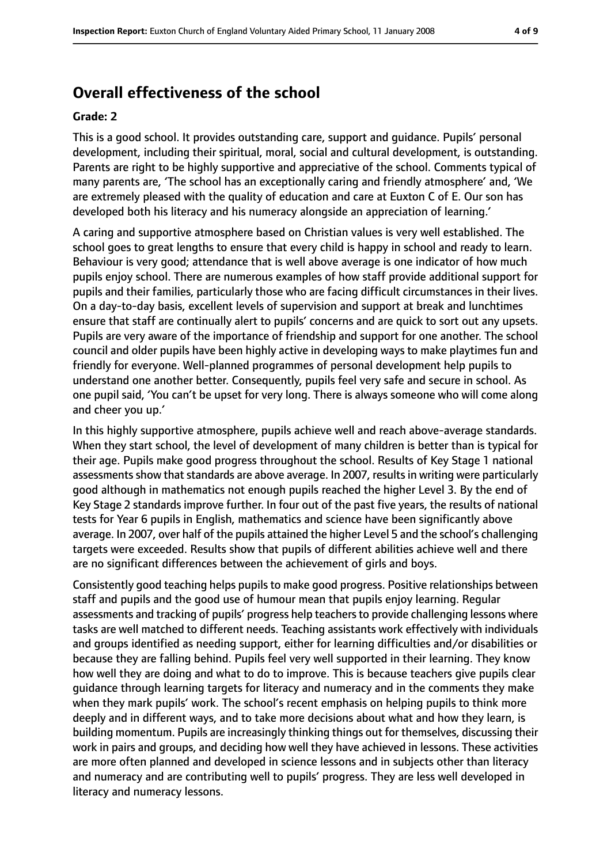# **Overall effectiveness of the school**

#### **Grade: 2**

This is a good school. It provides outstanding care, support and guidance. Pupils' personal development, including their spiritual, moral, social and cultural development, is outstanding. Parents are right to be highly supportive and appreciative of the school. Comments typical of many parents are, 'The school has an exceptionally caring and friendly atmosphere' and, 'We are extremely pleased with the quality of education and care at Euxton C of E. Our son has developed both his literacy and his numeracy alongside an appreciation of learning.'

A caring and supportive atmosphere based on Christian values is very well established. The school goes to great lengths to ensure that every child is happy in school and ready to learn. Behaviour is very good; attendance that is well above average is one indicator of how much pupils enjoy school. There are numerous examples of how staff provide additional support for pupils and their families, particularly those who are facing difficult circumstances in their lives. On a day-to-day basis, excellent levels of supervision and support at break and lunchtimes ensure that staff are continually alert to pupils' concerns and are quick to sort out any upsets. Pupils are very aware of the importance of friendship and support for one another. The school council and older pupils have been highly active in developing ways to make playtimes fun and friendly for everyone. Well-planned programmes of personal development help pupils to understand one another better. Consequently, pupils feel very safe and secure in school. As one pupil said, 'You can't be upset for very long. There is always someone who will come along and cheer you up.'

In this highly supportive atmosphere, pupils achieve well and reach above-average standards. When they start school, the level of development of many children is better than is typical for their age. Pupils make good progress throughout the school. Results of Key Stage 1 national assessments show that standards are above average. In 2007, results in writing were particularly good although in mathematics not enough pupils reached the higher Level 3. By the end of Key Stage 2 standards improve further. In four out of the past five years, the results of national tests for Year 6 pupils in English, mathematics and science have been significantly above average. In 2007, over half of the pupils attained the higher Level 5 and the school's challenging targets were exceeded. Results show that pupils of different abilities achieve well and there are no significant differences between the achievement of girls and boys.

Consistently good teaching helps pupils to make good progress. Positive relationships between staff and pupils and the good use of humour mean that pupils enjoy learning. Regular assessments and tracking of pupils' progress help teachers to provide challenging lessons where tasks are well matched to different needs. Teaching assistants work effectively with individuals and groups identified as needing support, either for learning difficulties and/or disabilities or because they are falling behind. Pupils feel very well supported in their learning. They know how well they are doing and what to do to improve. This is because teachers give pupils clear guidance through learning targets for literacy and numeracy and in the comments they make when they mark pupils' work. The school's recent emphasis on helping pupils to think more deeply and in different ways, and to take more decisions about what and how they learn, is building momentum. Pupils are increasingly thinking things out for themselves, discussing their work in pairs and groups, and deciding how well they have achieved in lessons. These activities are more often planned and developed in science lessons and in subjects other than literacy and numeracy and are contributing well to pupils' progress. They are less well developed in literacy and numeracy lessons.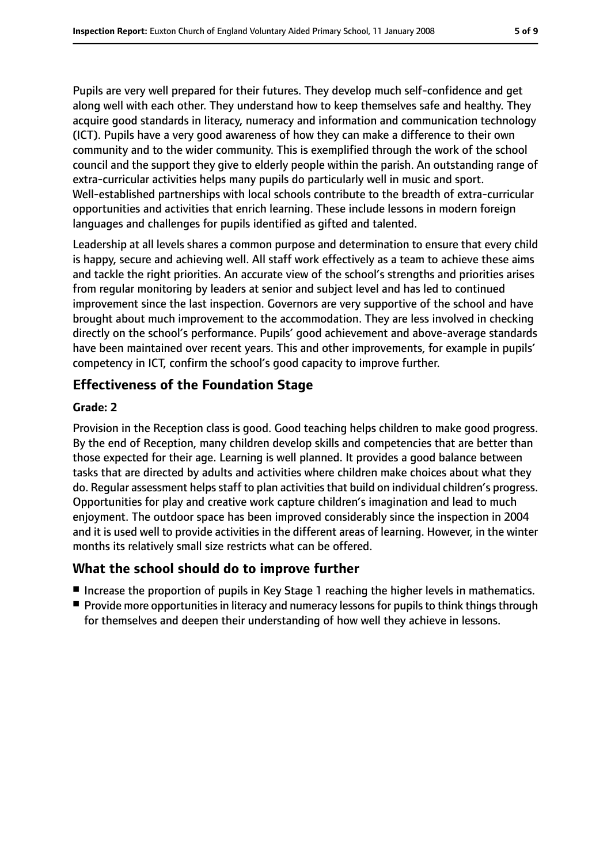Pupils are very well prepared for their futures. They develop much self-confidence and get along well with each other. They understand how to keep themselves safe and healthy. They acquire good standards in literacy, numeracy and information and communication technology (ICT). Pupils have a very good awareness of how they can make a difference to their own community and to the wider community. This is exemplified through the work of the school council and the support they give to elderly people within the parish. An outstanding range of extra-curricular activities helps many pupils do particularly well in music and sport. Well-established partnerships with local schools contribute to the breadth of extra-curricular opportunities and activities that enrich learning. These include lessons in modern foreign languages and challenges for pupils identified as gifted and talented.

Leadership at all levels shares a common purpose and determination to ensure that every child is happy, secure and achieving well. All staff work effectively as a team to achieve these aims and tackle the right priorities. An accurate view of the school's strengths and priorities arises from regular monitoring by leaders at senior and subject level and has led to continued improvement since the last inspection. Governors are very supportive of the school and have brought about much improvement to the accommodation. They are less involved in checking directly on the school's performance. Pupils' good achievement and above-average standards have been maintained over recent years. This and other improvements, for example in pupils' competency in ICT, confirm the school's good capacity to improve further.

## **Effectiveness of the Foundation Stage**

#### **Grade: 2**

Provision in the Reception class is good. Good teaching helps children to make good progress. By the end of Reception, many children develop skills and competencies that are better than those expected for their age. Learning is well planned. It provides a good balance between tasks that are directed by adults and activities where children make choices about what they do. Regular assessment helps staff to plan activities that build on individual children's progress. Opportunities for play and creative work capture children's imagination and lead to much enjoyment. The outdoor space has been improved considerably since the inspection in 2004 and it is used well to provide activities in the different areas of learning. However, in the winter months its relatively small size restricts what can be offered.

## **What the school should do to improve further**

- Increase the proportion of pupils in Key Stage 1 reaching the higher levels in mathematics.
- Provide more opportunities in literacy and numeracy lessons for pupils to think things through for themselves and deepen their understanding of how well they achieve in lessons.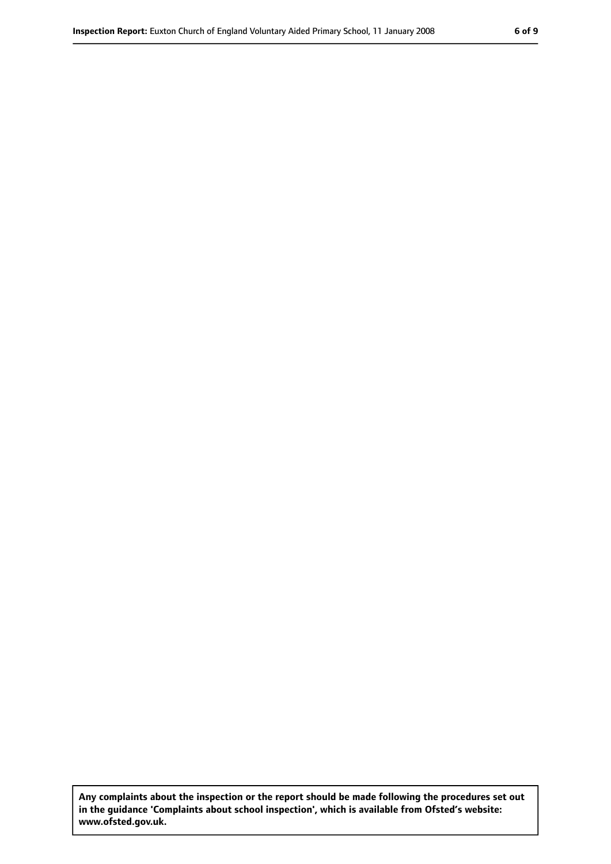**Any complaints about the inspection or the report should be made following the procedures set out in the guidance 'Complaints about school inspection', which is available from Ofsted's website: www.ofsted.gov.uk.**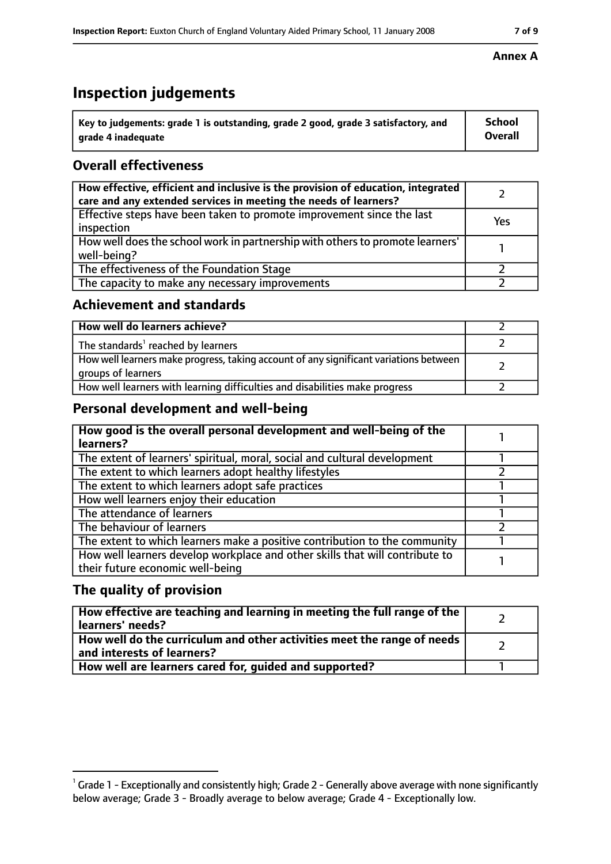# **Inspection judgements**

| $\degree$ Key to judgements: grade 1 is outstanding, grade 2 good, grade 3 satisfactory, and | School         |
|----------------------------------------------------------------------------------------------|----------------|
| arade 4 inadequate                                                                           | <b>Overall</b> |

## **Overall effectiveness**

| How effective, efficient and inclusive is the provision of education, integrated<br>care and any extended services in meeting the needs of learners? |     |
|------------------------------------------------------------------------------------------------------------------------------------------------------|-----|
| Effective steps have been taken to promote improvement since the last<br>inspection                                                                  | Yes |
| How well does the school work in partnership with others to promote learners'<br>well-being?                                                         |     |
| The effectiveness of the Foundation Stage                                                                                                            |     |
| The capacity to make any necessary improvements                                                                                                      |     |

## **Achievement and standards**

| How well do learners achieve?                                                                               |  |
|-------------------------------------------------------------------------------------------------------------|--|
| The standards <sup>1</sup> reached by learners                                                              |  |
| How well learners make progress, taking account of any significant variations between<br>groups of learners |  |
| How well learners with learning difficulties and disabilities make progress                                 |  |

## **Personal development and well-being**

| How good is the overall personal development and well-being of the<br>learners?                                  |  |
|------------------------------------------------------------------------------------------------------------------|--|
| The extent of learners' spiritual, moral, social and cultural development                                        |  |
| The extent to which learners adopt healthy lifestyles                                                            |  |
| The extent to which learners adopt safe practices                                                                |  |
| How well learners enjoy their education                                                                          |  |
| The attendance of learners                                                                                       |  |
| The behaviour of learners                                                                                        |  |
| The extent to which learners make a positive contribution to the community                                       |  |
| How well learners develop workplace and other skills that will contribute to<br>their future economic well-being |  |

## **The quality of provision**

| How effective are teaching and learning in meeting the full range of the<br>learners' needs?          |  |
|-------------------------------------------------------------------------------------------------------|--|
| How well do the curriculum and other activities meet the range of needs<br>and interests of learners? |  |
| How well are learners cared for, quided and supported?                                                |  |

#### **Annex A**

 $^1$  Grade 1 - Exceptionally and consistently high; Grade 2 - Generally above average with none significantly below average; Grade 3 - Broadly average to below average; Grade 4 - Exceptionally low.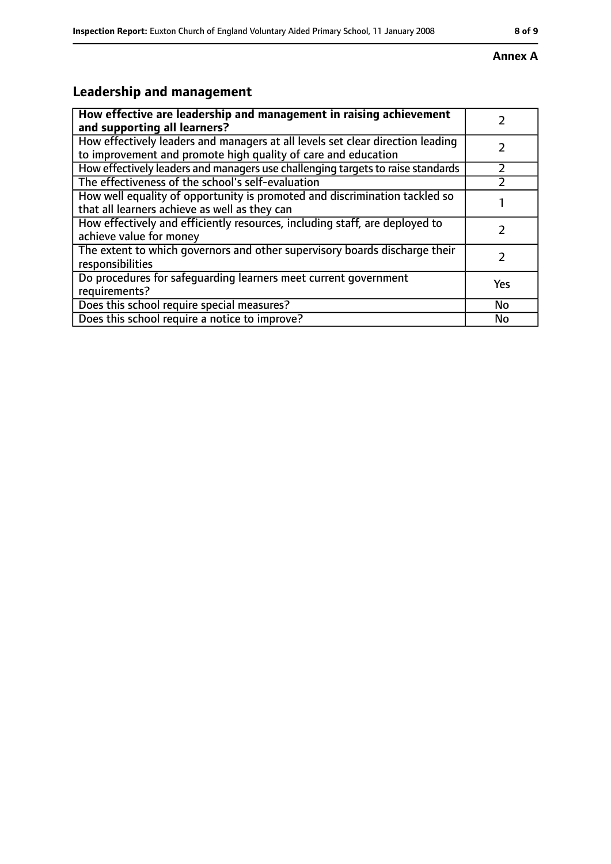#### **Annex A**

# **Leadership and management**

| How effective are leadership and management in raising achievement<br>and supporting all learners?                                              |     |
|-------------------------------------------------------------------------------------------------------------------------------------------------|-----|
| How effectively leaders and managers at all levels set clear direction leading<br>to improvement and promote high quality of care and education |     |
| How effectively leaders and managers use challenging targets to raise standards                                                                 |     |
| The effectiveness of the school's self-evaluation                                                                                               |     |
| How well equality of opportunity is promoted and discrimination tackled so<br>that all learners achieve as well as they can                     |     |
| How effectively and efficiently resources, including staff, are deployed to<br>achieve value for money                                          |     |
| The extent to which governors and other supervisory boards discharge their<br>responsibilities                                                  |     |
| Do procedures for safequarding learners meet current government<br>requirements?                                                                | Yes |
| Does this school require special measures?                                                                                                      | No  |
| Does this school require a notice to improve?                                                                                                   | No  |